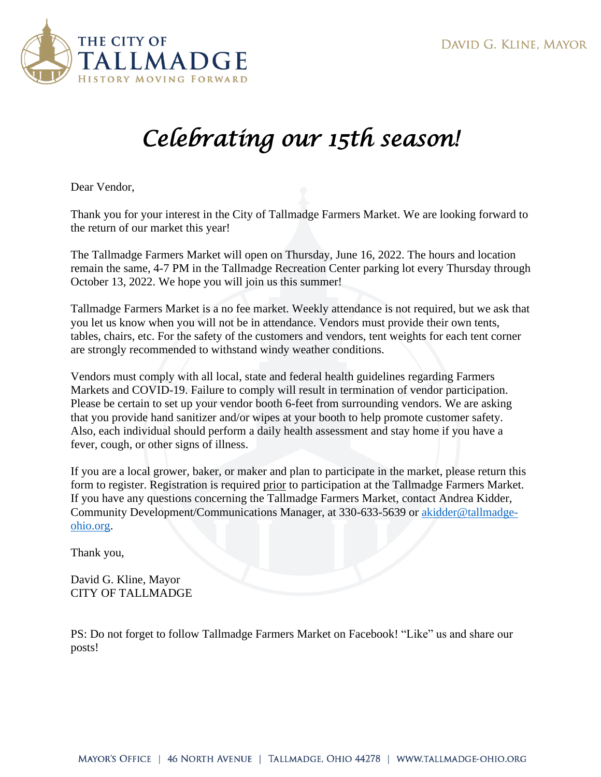

## *Celebrating our 15th season!*

Dear Vendor,

Thank you for your interest in the City of Tallmadge Farmers Market. We are looking forward to the return of our market this year!

The Tallmadge Farmers Market will open on Thursday, June 16, 2022. The hours and location remain the same, 4-7 PM in the Tallmadge Recreation Center parking lot every Thursday through October 13, 2022. We hope you will join us this summer!

Tallmadge Farmers Market is a no fee market. Weekly attendance is not required, but we ask that you let us know when you will not be in attendance. Vendors must provide their own tents, tables, chairs, etc. For the safety of the customers and vendors, tent weights for each tent corner are strongly recommended to withstand windy weather conditions.

Vendors must comply with all local, state and federal health guidelines regarding Farmers Markets and COVID-19. Failure to comply will result in termination of vendor participation. Please be certain to set up your vendor booth 6-feet from surrounding vendors. We are asking that you provide hand sanitizer and/or wipes at your booth to help promote customer safety. Also, each individual should perform a daily health assessment and stay home if you have a fever, cough, or other signs of illness.

If you are a local grower, baker, or maker and plan to participate in the market, please return this form to register. Registration is required prior to participation at the Tallmadge Farmers Market. If you have any questions concerning the Tallmadge Farmers Market, contact Andrea Kidder, Community Development/Communications Manager, at 330-633-5639 or [akidder@tallmadge](mailto:akidder@tallmadge-ohio.org)[ohio.org.](mailto:akidder@tallmadge-ohio.org)

Thank you,

David G. Kline, Mayor CITY OF TALLMADGE

PS: Do not forget to follow Tallmadge Farmers Market on Facebook! "Like" us and share our posts!